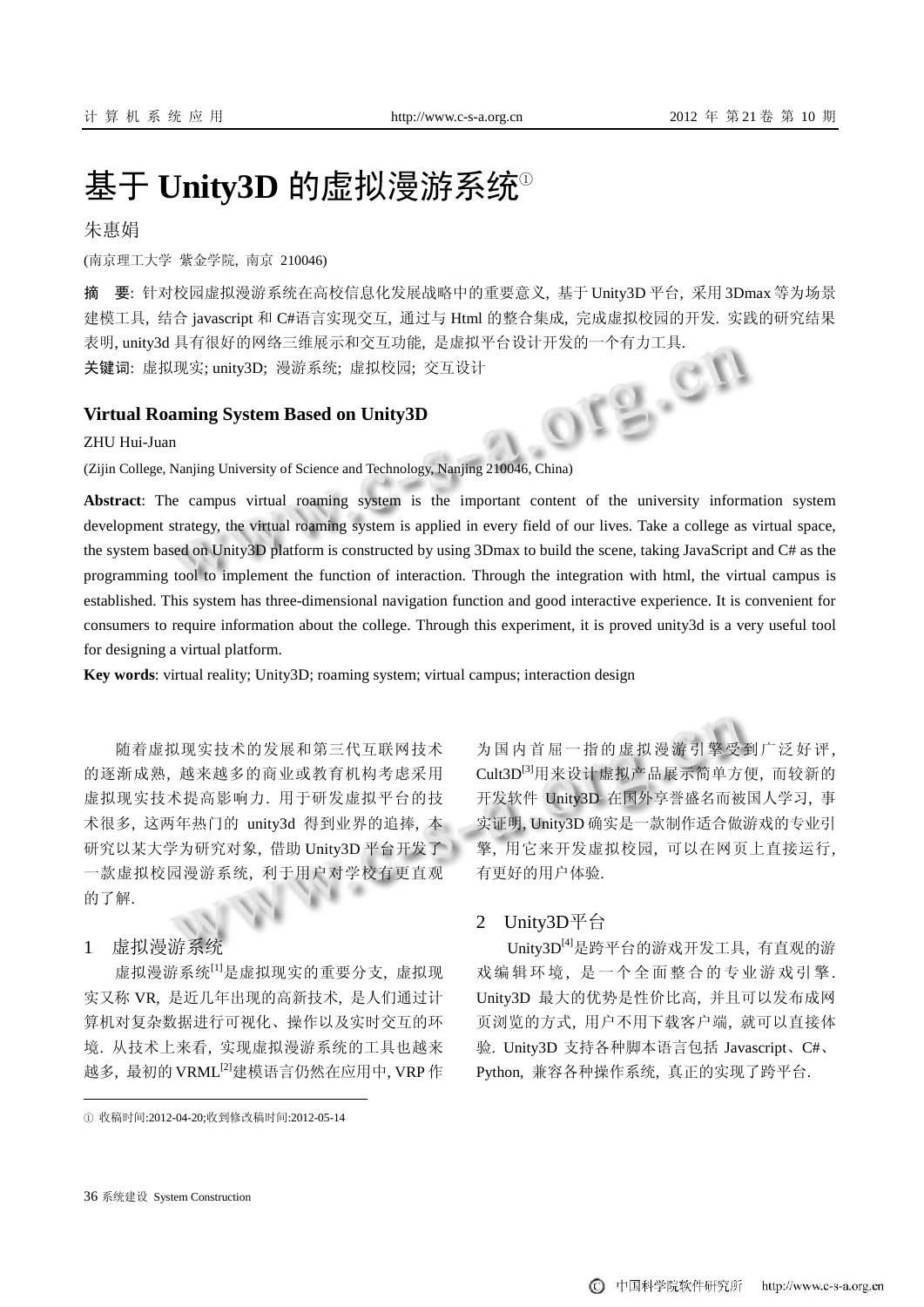# 基于 **Unity3D** 的虚拟漫游系统①

朱惠娟

(南京理工大学 紫金学院, 南京 210046)

摘 要: 针对校园虚拟漫游系统在高校信息化发展战略中的重要意义, 基于 Unity3D 平台, 采用 3Dmax 等为场景 建模工具, 结合 javascript 和 C#语言实现交互, 通过与 Html 的整合集成, 完成虚拟校园的开发. 实践的研究结果 表明, unity3d 具有很好的网络三维展示和交互功能, 是虚拟平台设计开发的一个有力工具.<br>关键词: 虚拟现实; unity3D; 漫游系统; 虚拟校园; 交互设计<br>Virtual Roaming System Based on Unity3D<br>ZHU Hui-Juan 关键词: 虚拟现实; unity3D; 漫游系统; 虚拟校园; 交互设计

**Virtual Roaming System Based on Unity3D**

ZHU Hui-Juan

(Zijin College, Nanjing University of Science and Technology, Nanjing 210046, China)

**Abstract**: The campus virtual roaming system is the important content of the university information system development strategy, the virtual roaming system is applied in every field of our lives. Take a college as virtual space, the system based on Unity3D platform is constructed by using 3Dmax to build the scene, taking JavaScript and C# as the programming tool to implement the function of interaction. Through the integration with html, the virtual campus is established. This system has three-dimensional navigation function and good interactive experience. It is convenient for consumers to require information about the college. Through this experiment, it is proved unity3d is a very useful tool for designing a virtual platform.

**Key words**: virtual reality; Unity3D; roaming system; virtual campus; interaction design

随着虚拟现实技术的发展和第三代互联网技术 的逐渐成熟, 越来越多的商业或教育机构考虑采用 虚拟现实技术提高影响力. 用于研发虚拟平台的技 术很多, 这两年热门的 unity3d 得到业界的追捧, 本 研究以某大学为研究对象, 借助 Unity3D 平台开发了 一款虚拟校园漫游系统, 利于用户对学校有更直观 的了解.

1 虚拟漫游系统

虚拟漫游系统[1]是虚拟现实的重要分支, 虚拟现 实又称 VR, 是近几年出现的高新技术, 是人们通过计 算机对复杂数据进行可视化、操作以及实时交互的环 境. 从技术上来看, 实现虚拟漫游系统的工具也越来 越多, 最初的 VRML[2]建模语言仍然在应用中, VRP 作

① 收稿时间:2012-04-20;收到修改稿时间:2012-05-14

为国内首屈一指的虚拟漫游引擎受到广泛好评, Cult3D[3]用来设计虚拟产品展示简单方便, 而较新的 开发软件 Unity3D 在国外享誉盛名而被国人学习, 事 实证明, Unity3D 确实是一款制作适合做游戏的专业引 擎, 用它来开发虚拟校园, 可以在网页上直接运行, 有更好的用户体验.

# 2 Unity3D平台

Unity3D[4]是跨平台的游戏开发工具, 有直观的游 戏编辑环境, 是一个全面整合的专业游戏引擎. Unity3D 最大的优势是性价比高, 并且可以发布成网 页浏览的方式, 用户不用下载客户端, 就可以直接体 验. Unity3D 支持各种脚本语言包括 Javascript、C#、 Python, 兼容各种操作系统, 真正的实现了跨平台.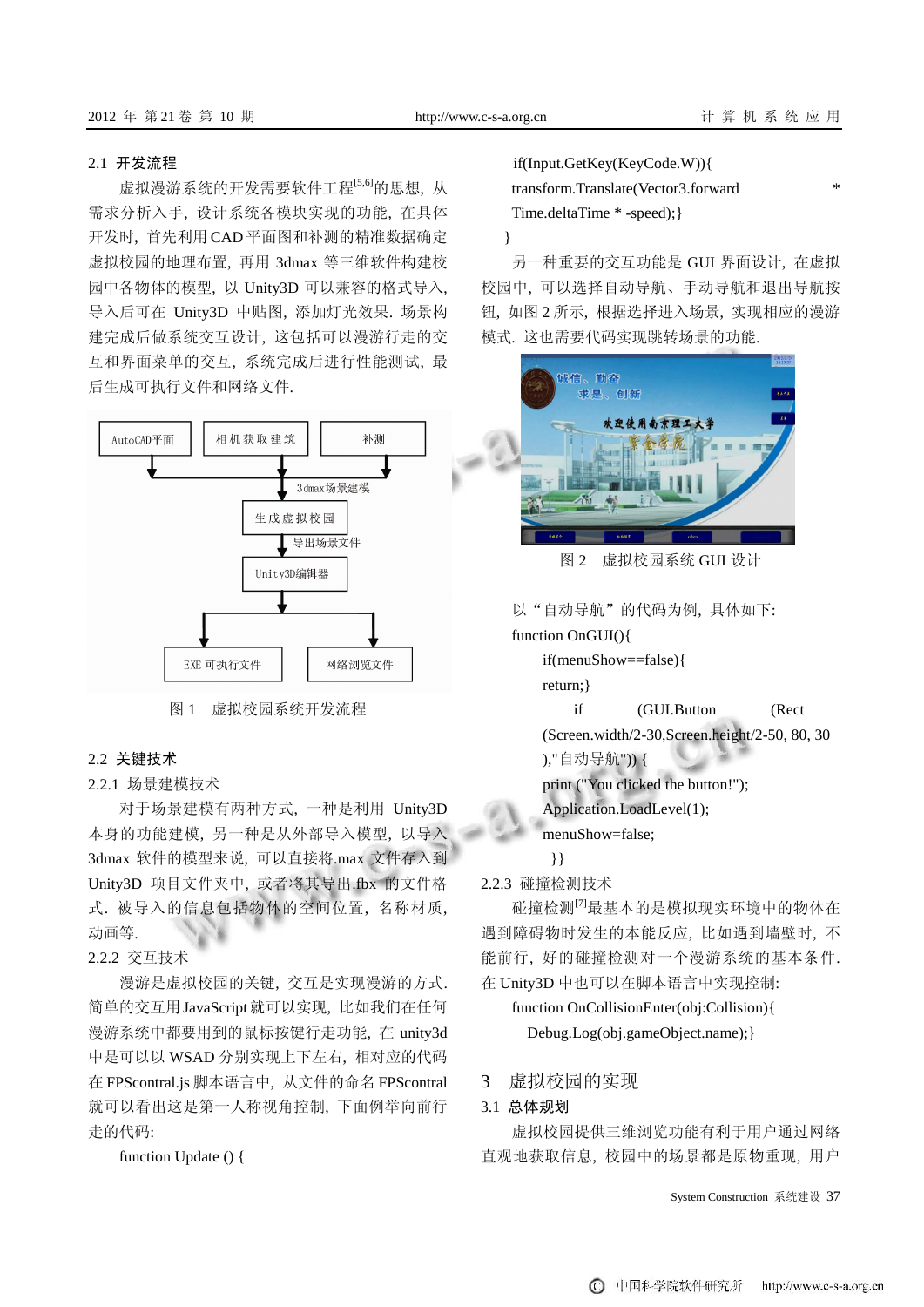#### 2.1 开发流程

虚拟漫游系统的开发需要软件工程[5,6]的思想, 从 需求分析入手, 设计系统各模块实现的功能, 在具体 开发时, 首先利用 CAD平面图和补测的精准数据确定 虚拟校园的地理布置, 再用 3dmax 等三维软件构建校 园中各物体的模型, 以 Unity3D 可以兼容的格式导入, 导入后可在 Unity3D 中贴图, 添加灯光效果. 场景构 建完成后做系统交互设计, 这包括可以漫游行走的交 互和界面菜单的交互, 系统完成后进行性能测试, 最 后生成可执行文件和网络文件.



图 1 虚拟校园系统开发流程

2.2 关键技术

## 2.2.1 场景建模技术

对于场景建模有两种方式, 一种是利用 Unity3D 本身的功能建模, 另一种是从外部导入模型, 以导入 3dmax 软件的模型来说, 可以直接将.max 文件存入到 Unity3D 项目文件夹中, 或者将其导出.fbx 的文件格 式. 被导入的信息包括物体的空间位置, 名称材质, 动画等.

## 2.2.2 交互技术

漫游是虚拟校园的关键, 交互是实现漫游的方式. 简单的交互用JavaScript就可以实现, 比如我们在任何 漫游系统中都要用到的鼠标按键行走功能, 在 unity3d 中是可以以 WSAD 分别实现上下左右, 相对应的代码 在 FPScontral.js 脚本语言中, 从文件的命名 FPScontral 就可以看出这是第一人称视角控制, 下面例举向前行 走的代码:

function Update () {

if(Input.GetKey(KeyCode.W)){ transform.Translate(Vector3.forward \*

Time.deltaTime \* -speed);}

#### }

另一种重要的交互功能是 GUI 界面设计, 在虚拟 校园中, 可以选择自动导航、手动导航和退出导航按 钮, 如图 2 所示, 根据选择进入场景, 实现相应的漫游 模式. 这也需要代码实现跳转场景的功能.



图 2 虚拟校园系统 GUI 设计

以"自动导航"的代码为例, 具体如下:

function OnGUI(){

if(menuShow==false){

return;}

if (GUI.Button (Rect

(Screen.width/2-30,Screen.height/2-50, 80, 30 ),"自动导航")) {

print ("You clicked the button!");

Application.LoadLevel(1);

menuShow=false;

}}

2.2.3 碰撞检测技术

碰撞检测[7]最基本的是模拟现实环境中的物体在 遇到障碍物时发生的本能反应, 比如遇到墙壁时, 不 能前行, 好的碰撞检测对一个漫游系统的基本条件. 在 Unity3D 中也可以在脚本语言中实现控制:

function OnCollisionEnter(obj:Collision){ Debug.Log(obj.gameObject.name);}

# 3 虚拟校园的实现

# 3.1 总体规划

虚拟校园提供三维浏览功能有利于用户通过网络 直观地获取信息, 校园中的场景都是原物重现, 用户

System Construction 系统建设 37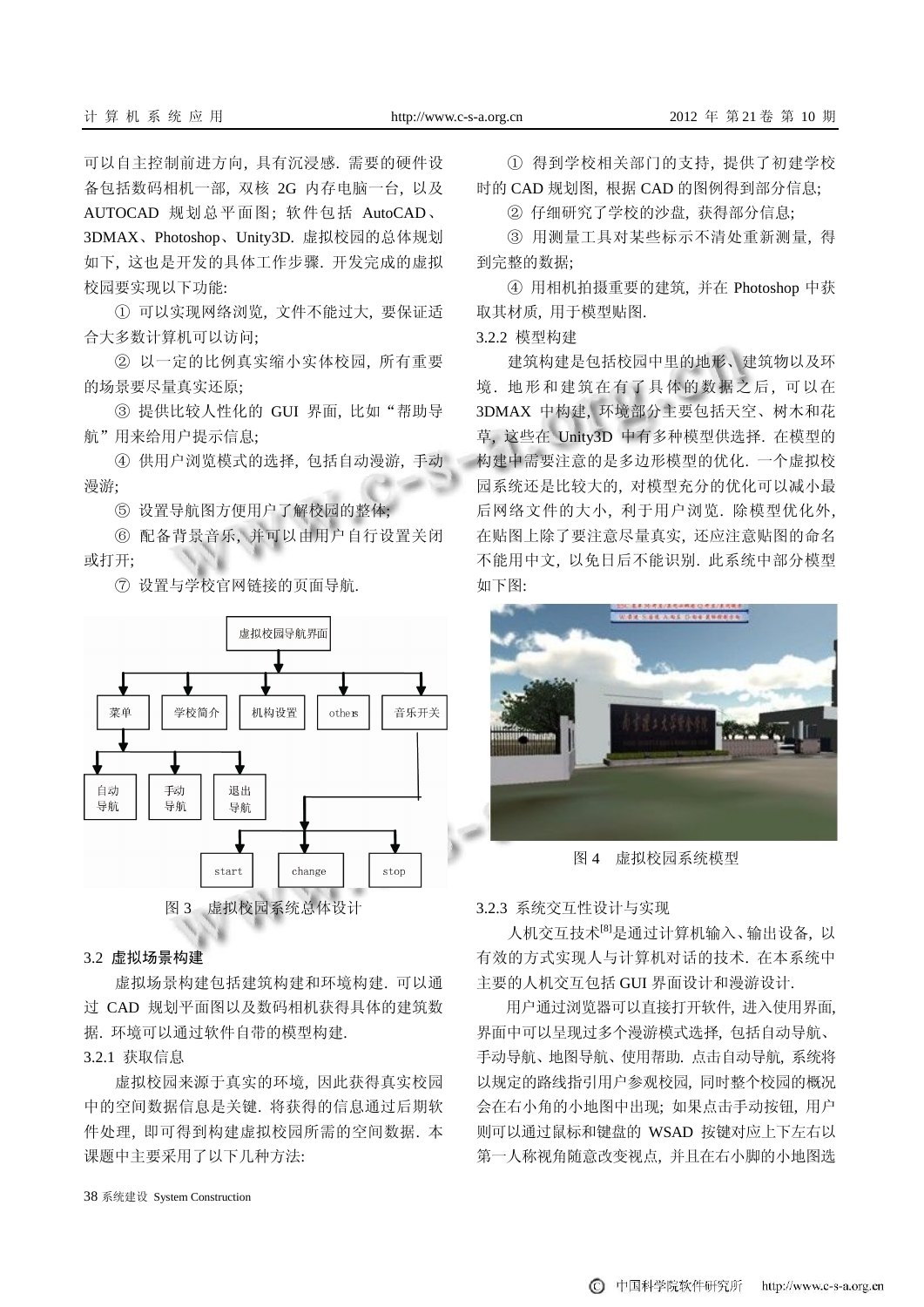可以自主控制前进方向, 具有沉浸感. 需要的硬件设 备包括数码相机一部, 双核 2G 内存电脑一台, 以及 AUTOCAD 规划总平面图; 软件包括 AutoCAD、 3DMAX、Photoshop、Unity3D. 虚拟校园的总体规划 如下, 这也是开发的具体工作步骤. 开发完成的虚拟 校园要实现以下功能:

① 可以实现网络浏览, 文件不能过大, 要保证适 合大多数计算机可以访问;

② 以一定的比例真实缩小实体校园, 所有重要 的场景要尽量真实还原;

③ 提供比较人性化的 GUI 界面, 比如"帮助导 航"用来给用户提示信息;

④ 供用户浏览模式的选择, 包括自动漫游, 手动 漫游;

⑤ 设置导航图方便用户了解校园的整体;

⑥ 配备背景音乐, 并可以由用户自行设置关闭 或打开;

⑦ 设置与学校官网链接的页面导航.



#### 3.2 虚拟场景构建

虚拟场景构建包括建筑构建和环境构建. 可以通 过 CAD 规划平面图以及数码相机获得具体的建筑数 据. 环境可以通过软件自带的模型构建.

# 3.2.1 获取信息

虚拟校园来源于真实的环境, 因此获得真实校园 中的空间数据信息是关键. 将获得的信息通过后期软 件处理, 即可得到构建虚拟校园所需的空间数据. 本 课题中主要采用了以下几种方法:

① 得到学校相关部门的支持, 提供了初建学校 时的 CAD 规划图, 根据 CAD 的图例得到部分信息;

② 仔细研究了学校的沙盘, 获得部分信息;

③ 用测量工具对某些标示不清处重新测量, 得 到完整的数据;

④ 用相机拍摄重要的建筑, 并在 Photoshop 中获 取其材质, 用于模型贴图.

3.2.2 模型构建

建筑构建是包括校园中里的地形、建筑物以及环 境. 地形和建筑在有了具体的数据之后, 可以在 3DMAX 中构建, 环境部分主要包括天空、树木和花 草, 这些在 Unity3D 中有多种模型供选择. 在模型的 构建中需要注意的是多边形模型的优化. 一个虚拟校 园系统还是比较大的, 对模型充分的优化可以减小最 后网络文件的大小, 利于用户浏览. 除模型优化外, 在贴图上除了要注意尽量真实, 还应注意贴图的命名 不能用中文, 以免日后不能识别. 此系统中部分模型 如下图:



图 4 虚拟校园系统模型

3.2.3 系统交互性设计与实现

人机交互技术[8]是通过计算机输入、输出设备, 以 有效的方式实现人与计算机对话的技术. 在本系统中 主要的人机交互包括 GUI 界面设计和漫游设计.

用户通过浏览器可以直接打开软件, 进入使用界面, 界面中可以呈现过多个漫游模式选择, 包括自动导航、 手动导航、地图导航、使用帮助. 点击自动导航, 系统将 以规定的路线指引用户参观校园, 同时整个校园的概况 会在右小角的小地图中出现; 如果点击手动按钮, 用户 则可以通过鼠标和键盘的 WSAD 按键对应上下左右以 第一人称视角随意改变视点, 并且在右小脚的小地图选

38 系统建设 System Construction